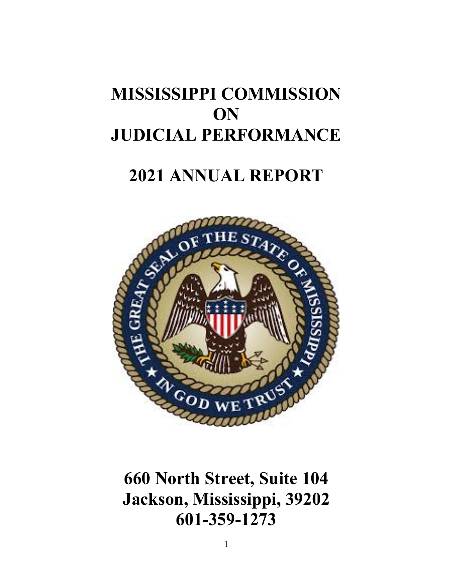# **MISSISSIPPI COMMISSION ON JUDICIAL PERFORMANCE**

# **2021 ANNUAL REPORT**



**660 North Street, Suite 104 Jackson, Mississippi, 39202 601-359-1273**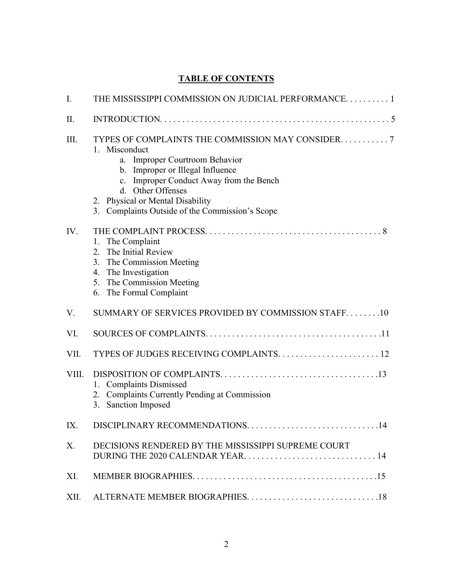## **TABLE OF CONTENTS**

| I.    | THE MISSISSIPPI COMMISSION ON JUDICIAL PERFORMANCE 1                                                                                                                                                                                                                                             |  |
|-------|--------------------------------------------------------------------------------------------------------------------------------------------------------------------------------------------------------------------------------------------------------------------------------------------------|--|
| II.   |                                                                                                                                                                                                                                                                                                  |  |
| Ш.    | TYPES OF COMPLAINTS THE COMMISSION MAY CONSIDER. 7<br>1. Misconduct<br>a. Improper Courtroom Behavior<br>b. Improper or Illegal Influence<br>c. Improper Conduct Away from the Bench<br>d. Other Offenses<br>2. Physical or Mental Disability<br>3. Complaints Outside of the Commission's Scope |  |
| IV.   | 1. The Complaint<br>2. The Initial Review<br>3. The Commission Meeting<br>4. The Investigation<br>5. The Commission Meeting<br>6. The Formal Complaint                                                                                                                                           |  |
| V.    | SUMMARY OF SERVICES PROVIDED BY COMMISSION STAFF10                                                                                                                                                                                                                                               |  |
| VI.   |                                                                                                                                                                                                                                                                                                  |  |
| VII.  |                                                                                                                                                                                                                                                                                                  |  |
| VIII. | <b>Complaints Dismissed</b><br>1.<br>2. Complaints Currently Pending at Commission<br>3. Sanction Imposed                                                                                                                                                                                        |  |
| IX.   | DISCIPLINARY RECOMMENDATIONS<br>14                                                                                                                                                                                                                                                               |  |
| X.    | DECISIONS RENDERED BY THE MISSISSIPPI SUPREME COURT                                                                                                                                                                                                                                              |  |
| XI.   |                                                                                                                                                                                                                                                                                                  |  |
| XII.  |                                                                                                                                                                                                                                                                                                  |  |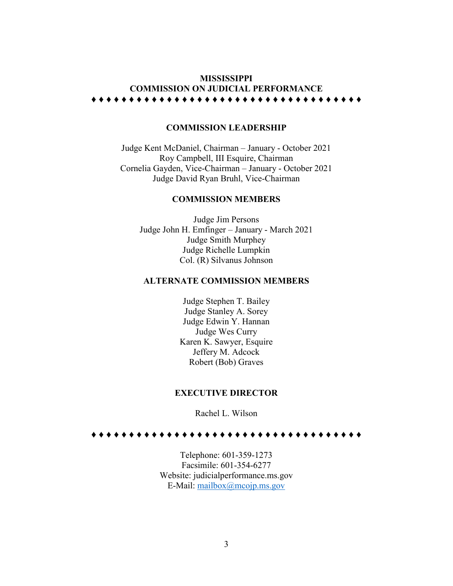## **MISSISSIPPI COMMISSION ON JUDICIAL PERFORMANCE** ♦ ♦ ♦ ♦ ♦ ♦ ♦ ♦ ♦ ♦ ♦ ♦ ♦ ♦ ♦ ♦ ♦ ♦ ♦ ♦ ♦ ♦ ♦ ♦ ♦ ♦ ♦ ♦ ♦ ♦ ♦ ♦ ♦ ♦ ♦ ♦

## **COMMISSION LEADERSHIP**

Judge Kent McDaniel, Chairman – January - October 2021 Roy Campbell, III Esquire, Chairman Cornelia Gayden, Vice-Chairman – January - October 2021 Judge David Ryan Bruhl, Vice-Chairman

#### **COMMISSION MEMBERS**

Judge Jim Persons Judge John H. Emfinger – January - March 2021 Judge Smith Murphey Judge Richelle Lumpkin Col. (R) Silvanus Johnson

### **ALTERNATE COMMISSION MEMBERS**

Judge Stephen T. Bailey Judge Stanley A. Sorey Judge Edwin Y. Hannan Judge Wes Curry Karen K. Sawyer, Esquire Jeffery M. Adcock Robert (Bob) Graves

#### **EXECUTIVE DIRECTOR**

Rachel L. Wilson

♦ ♦ ♦ ♦ ♦ ♦ ♦ ♦ ♦ ♦ ♦ ♦ ♦ ♦ ♦ ♦ ♦ ♦ ♦ ♦ ♦ ♦ ♦ ♦ ♦ ♦ ♦ ♦ ♦ ♦ ♦ ♦ ♦ ♦ ♦ ♦

Telephone: 601-359-1273 Facsimile: 601-354-6277 Website: judicialperformance.ms.gov E-Mail: [mailbox@mcojp.ms.gov](mailto:mailbox@mcojp.ms.gov)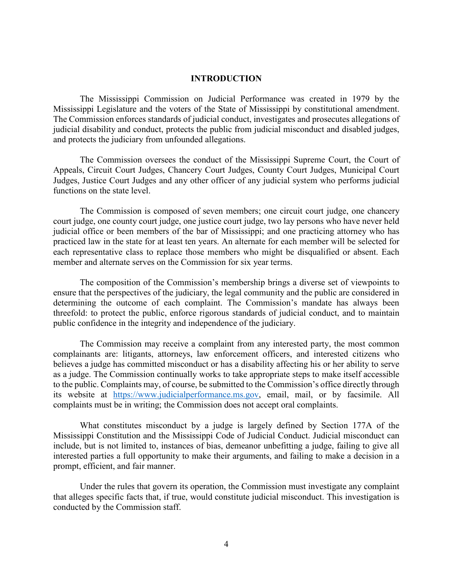#### **INTRODUCTION**

The Mississippi Commission on Judicial Performance was created in 1979 by the Mississippi Legislature and the voters of the State of Mississippi by constitutional amendment. The Commission enforces standards of judicial conduct, investigates and prosecutes allegations of judicial disability and conduct, protects the public from judicial misconduct and disabled judges, and protects the judiciary from unfounded allegations.

The Commission oversees the conduct of the Mississippi Supreme Court, the Court of Appeals, Circuit Court Judges, Chancery Court Judges, County Court Judges, Municipal Court Judges, Justice Court Judges and any other officer of any judicial system who performs judicial functions on the state level.

The Commission is composed of seven members; one circuit court judge, one chancery court judge, one county court judge, one justice court judge, two lay persons who have never held judicial office or been members of the bar of Mississippi; and one practicing attorney who has practiced law in the state for at least ten years. An alternate for each member will be selected for each representative class to replace those members who might be disqualified or absent. Each member and alternate serves on the Commission for six year terms.

The composition of the Commission's membership brings a diverse set of viewpoints to ensure that the perspectives of the judiciary, the legal community and the public are considered in determining the outcome of each complaint. The Commission's mandate has always been threefold: to protect the public, enforce rigorous standards of judicial conduct, and to maintain public confidence in the integrity and independence of the judiciary.

The Commission may receive a complaint from any interested party, the most common complainants are: litigants, attorneys, law enforcement officers, and interested citizens who believes a judge has committed misconduct or has a disability affecting his or her ability to serve as a judge. The Commission continually works to take appropriate steps to make itself accessible to the public. Complaints may, of course, be submitted to the Commission's office directly through its website at [https://www.judicialperformance.ms.gov,](https://www.judicialperformance.ms.gov/) email, mail, or by facsimile. All complaints must be in writing; the Commission does not accept oral complaints.

What constitutes misconduct by a judge is largely defined by Section 177A of the Mississippi Constitution and the Mississippi Code of Judicial Conduct. Judicial misconduct can include, but is not limited to, instances of bias, demeanor unbefitting a judge, failing to give all interested parties a full opportunity to make their arguments, and failing to make a decision in a prompt, efficient, and fair manner.

Under the rules that govern its operation, the Commission must investigate any complaint that alleges specific facts that, if true, would constitute judicial misconduct. This investigation is conducted by the Commission staff.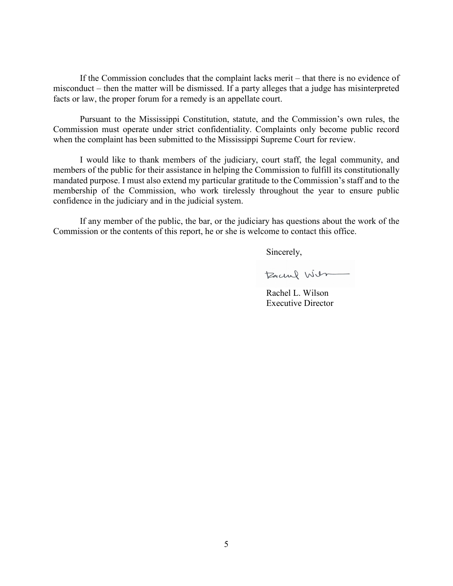If the Commission concludes that the complaint lacks merit – that there is no evidence of misconduct – then the matter will be dismissed. If a party alleges that a judge has misinterpreted facts or law, the proper forum for a remedy is an appellate court.

Pursuant to the Mississippi Constitution, statute, and the Commission's own rules, the Commission must operate under strict confidentiality. Complaints only become public record when the complaint has been submitted to the Mississippi Supreme Court for review.

I would like to thank members of the judiciary, court staff, the legal community, and members of the public for their assistance in helping the Commission to fulfill its constitutionally mandated purpose. I must also extend my particular gratitude to the Commission's staff and to the membership of the Commission, who work tirelessly throughout the year to ensure public confidence in the judiciary and in the judicial system.

If any member of the public, the bar, or the judiciary has questions about the work of the Commission or the contents of this report, he or she is welcome to contact this office.

Sincerely,

Rachel Wilson

Rachel L. Wilson Executive Director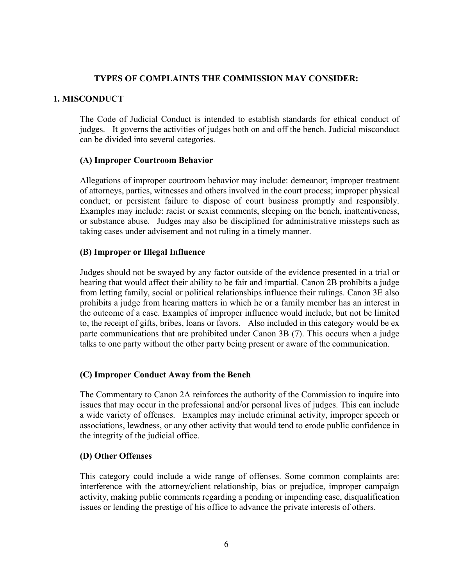## **TYPES OF COMPLAINTS THE COMMISSION MAY CONSIDER:**

## **1. MISCONDUCT**

The Code of Judicial Conduct is intended to establish standards for ethical conduct of judges. It governs the activities of judges both on and off the bench. Judicial misconduct can be divided into several categories.

## **(A) Improper Courtroom Behavior**

Allegations of improper courtroom behavior may include: demeanor; improper treatment of attorneys, parties, witnesses and others involved in the court process; improper physical conduct; or persistent failure to dispose of court business promptly and responsibly. Examples may include: racist or sexist comments, sleeping on the bench, inattentiveness, or substance abuse. Judges may also be disciplined for administrative missteps such as taking cases under advisement and not ruling in a timely manner.

## **(B) Improper or Illegal Influence**

Judges should not be swayed by any factor outside of the evidence presented in a trial or hearing that would affect their ability to be fair and impartial. Canon 2B prohibits a judge from letting family, social or political relationships influence their rulings. Canon 3E also prohibits a judge from hearing matters in which he or a family member has an interest in the outcome of a case. Examples of improper influence would include, but not be limited to, the receipt of gifts, bribes, loans or favors. Also included in this category would be ex parte communications that are prohibited under Canon 3B (7). This occurs when a judge talks to one party without the other party being present or aware of the communication.

## **(C) Improper Conduct Away from the Bench**

The Commentary to Canon 2A reinforces the authority of the Commission to inquire into issues that may occur in the professional and/or personal lives of judges. This can include a wide variety of offenses. Examples may include criminal activity, improper speech or associations, lewdness, or any other activity that would tend to erode public confidence in the integrity of the judicial office.

## **(D) Other Offenses**

This category could include a wide range of offenses. Some common complaints are: interference with the attorney/client relationship, bias or prejudice, improper campaign activity, making public comments regarding a pending or impending case, disqualification issues or lending the prestige of his office to advance the private interests of others.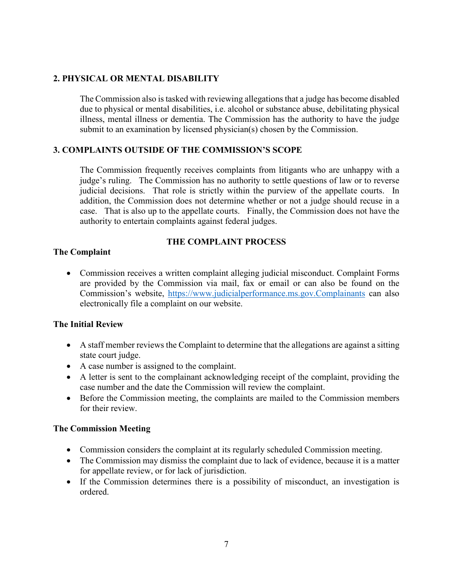## **2. PHYSICAL OR MENTAL DISABILITY**

The Commission also is tasked with reviewing allegations that a judge has become disabled due to physical or mental disabilities, i.e. alcohol or substance abuse, debilitating physical illness, mental illness or dementia. The Commission has the authority to have the judge submit to an examination by licensed physician(s) chosen by the Commission.

## **3. COMPLAINTS OUTSIDE OF THE COMMISSION'S SCOPE**

The Commission frequently receives complaints from litigants who are unhappy with a judge's ruling. The Commission has no authority to settle questions of law or to reverse judicial decisions. That role is strictly within the purview of the appellate courts. In addition, the Commission does not determine whether or not a judge should recuse in a case. That is also up to the appellate courts. Finally, the Commission does not have the authority to entertain complaints against federal judges.

## **THE COMPLAINT PROCESS**

## **The Complaint**

• Commission receives a written complaint alleging judicial misconduct. Complaint Forms are provided by the Commission via mail, fax or email or can also be found on the Commission's website, [https://www.judicialperformance.ms.gov.Complainants](https://www.judicialperformance.ms.gov.complainants/) can also electronically file a complaint on our website.

## **The Initial Review**

- A staff member reviews the Complaint to determine that the allegations are against a sitting state court judge.
- A case number is assigned to the complaint.
- A letter is sent to the complainant acknowledging receipt of the complaint, providing the case number and the date the Commission will review the complaint.
- Before the Commission meeting, the complaints are mailed to the Commission members for their review.

## **The Commission Meeting**

- Commission considers the complaint at its regularly scheduled Commission meeting.
- The Commission may dismiss the complaint due to lack of evidence, because it is a matter for appellate review, or for lack of jurisdiction.
- If the Commission determines there is a possibility of misconduct, an investigation is ordered.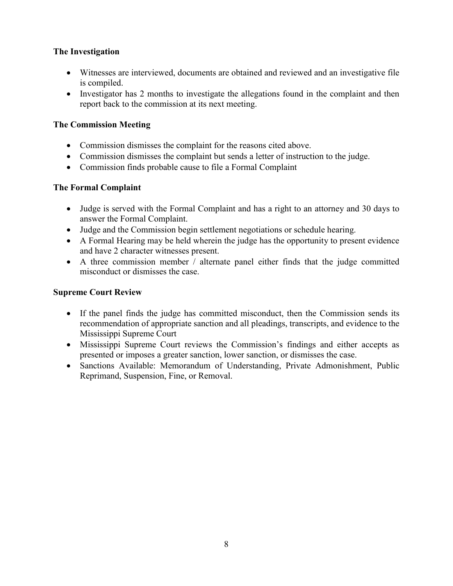## **The Investigation**

- Witnesses are interviewed, documents are obtained and reviewed and an investigative file is compiled.
- Investigator has 2 months to investigate the allegations found in the complaint and then report back to the commission at its next meeting.

## **The Commission Meeting**

- Commission dismisses the complaint for the reasons cited above.
- Commission dismisses the complaint but sends a letter of instruction to the judge.
- Commission finds probable cause to file a Formal Complaint

## **The Formal Complaint**

- Judge is served with the Formal Complaint and has a right to an attorney and 30 days to answer the Formal Complaint.
- Judge and the Commission begin settlement negotiations or schedule hearing.
- A Formal Hearing may be held wherein the judge has the opportunity to present evidence and have 2 character witnesses present.
- A three commission member / alternate panel either finds that the judge committed misconduct or dismisses the case.

## **Supreme Court Review**

- If the panel finds the judge has committed misconduct, then the Commission sends its recommendation of appropriate sanction and all pleadings, transcripts, and evidence to the Mississippi Supreme Court
- Mississippi Supreme Court reviews the Commission's findings and either accepts as presented or imposes a greater sanction, lower sanction, or dismisses the case.
- Sanctions Available: Memorandum of Understanding, Private Admonishment, Public Reprimand, Suspension, Fine, or Removal.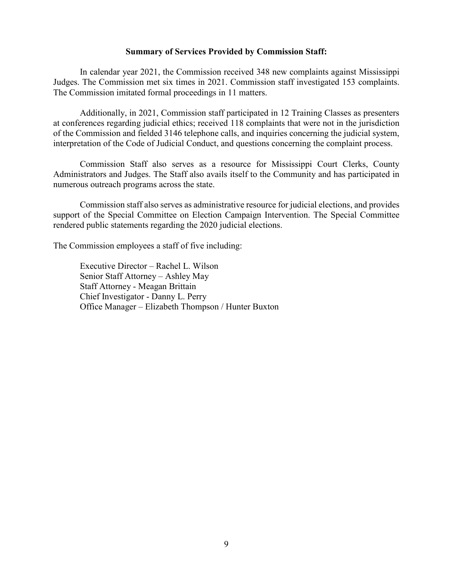#### **Summary of Services Provided by Commission Staff:**

In calendar year 2021, the Commission received 348 new complaints against Mississippi Judges. The Commission met six times in 2021. Commission staff investigated 153 complaints. The Commission imitated formal proceedings in 11 matters.

Additionally, in 2021, Commission staff participated in 12 Training Classes as presenters at conferences regarding judicial ethics; received 118 complaints that were not in the jurisdiction of the Commission and fielded 3146 telephone calls, and inquiries concerning the judicial system, interpretation of the Code of Judicial Conduct, and questions concerning the complaint process.

Commission Staff also serves as a resource for Mississippi Court Clerks, County Administrators and Judges. The Staff also avails itself to the Community and has participated in numerous outreach programs across the state.

Commission staff also serves as administrative resource for judicial elections, and provides support of the Special Committee on Election Campaign Intervention. The Special Committee rendered public statements regarding the 2020 judicial elections.

The Commission employees a staff of five including:

Executive Director – Rachel L. Wilson Senior Staff Attorney – Ashley May Staff Attorney - Meagan Brittain Chief Investigator - Danny L. Perry Office Manager – Elizabeth Thompson / Hunter Buxton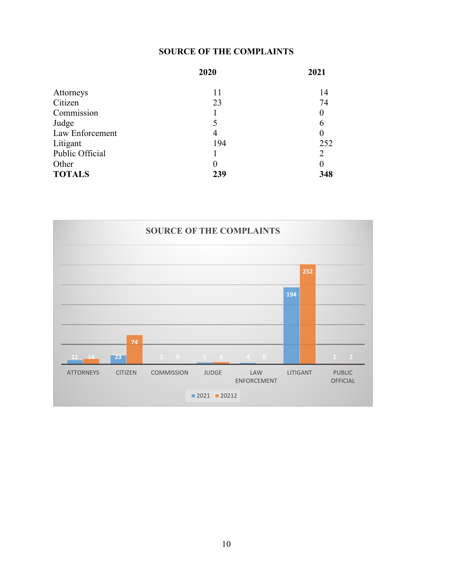## **SOURCE OF THE COMPLAINTS**

|                 | 2020 | 2021     |
|-----------------|------|----------|
| Attorneys       | 11   | 14       |
| Citizen         | 23   | 74       |
| Commission      |      | $\theta$ |
| Judge           |      | 6        |
| Law Enforcement | 4    | $\theta$ |
| Litigant        | 194  | 252      |
| Public Official |      | 2        |
| Other           | 0    | 0        |
| <b>TOTALS</b>   | 239  | 348      |

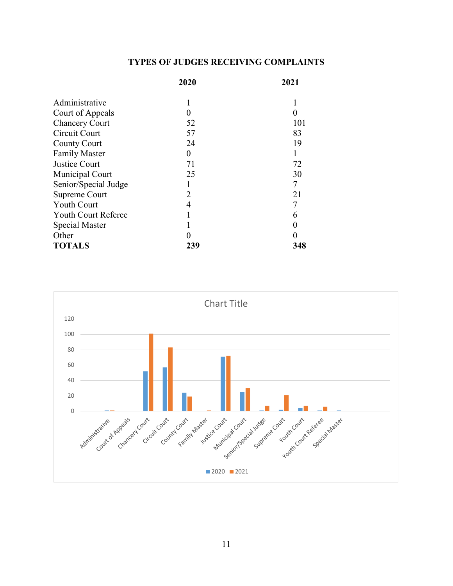## **TYPES OF JUDGES RECEIVING COMPLAINTS**

|                            | 2020 | 2021 |
|----------------------------|------|------|
| Administrative             |      | 1    |
| Court of Appeals           |      | 0    |
| <b>Chancery Court</b>      | 52   | 101  |
| Circuit Court              | 57   | 83   |
| <b>County Court</b>        | 24   | 19   |
| <b>Family Master</b>       | 0    |      |
| Justice Court              | 71   | 72   |
| Municipal Court            | 25   | 30   |
| Senior/Special Judge       |      | 7    |
| Supreme Court              | 2    | 21   |
| <b>Youth Court</b>         | 4    |      |
| <b>Youth Court Referee</b> |      | 6    |
| Special Master             |      | 0    |
| Other                      |      | 0    |
| <b>TOTALS</b>              | 239  | 348  |

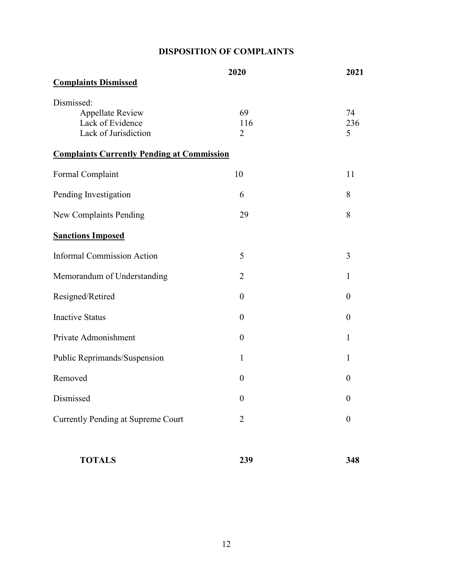# **DISPOSITION OF COMPLAINTS**

|                                                   | 2020           | 2021             |
|---------------------------------------------------|----------------|------------------|
| <b>Complaints Dismissed</b>                       |                |                  |
| Dismissed:                                        |                |                  |
| <b>Appellate Review</b>                           | 69             | 74               |
| Lack of Evidence                                  | 116            | 236              |
| Lack of Jurisdiction                              | $\overline{2}$ | 5                |
| <b>Complaints Currently Pending at Commission</b> |                |                  |
| Formal Complaint                                  | 10             | 11               |
| Pending Investigation                             | 6              | 8                |
| New Complaints Pending                            | 29             | 8                |
| <b>Sanctions Imposed</b>                          |                |                  |
| <b>Informal Commission Action</b>                 | 5              | 3                |
| Memorandum of Understanding                       | $\overline{2}$ | $\mathbf{1}$     |
| Resigned/Retired                                  | $\overline{0}$ | $\theta$         |
| <b>Inactive Status</b>                            | $\theta$       | $\theta$         |
| Private Admonishment                              | $\overline{0}$ | $\mathbf{1}$     |
| Public Reprimands/Suspension                      | $\mathbf{1}$   | $\mathbf{1}$     |
| Removed                                           | $\overline{0}$ | 0                |
| Dismissed                                         | $\theta$       | 0                |
| <b>Currently Pending at Supreme Court</b>         | $\overline{2}$ | $\boldsymbol{0}$ |
|                                                   |                |                  |

| <b>TOTALS</b> | 239 | 348 |
|---------------|-----|-----|
|               |     |     |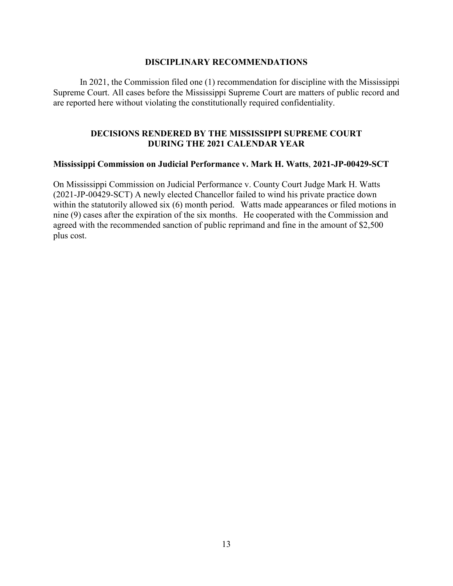## **DISCIPLINARY RECOMMENDATIONS**

In 2021, the Commission filed one (1) recommendation for discipline with the Mississippi Supreme Court. All cases before the Mississippi Supreme Court are matters of public record and are reported here without violating the constitutionally required confidentiality.

## **DECISIONS RENDERED BY THE MISSISSIPPI SUPREME COURT DURING THE 2021 CALENDAR YEAR**

## **Mississippi Commission on Judicial Performance v. Mark H. Watts**, **2021-JP-00429-SCT**

On Mississippi Commission on Judicial Performance v. County Court Judge Mark H. Watts (2021-JP-00429-SCT) A newly elected Chancellor failed to wind his private practice down within the statutorily allowed six (6) month period. Watts made appearances or filed motions in nine (9) cases after the expiration of the six months. He cooperated with the Commission and agreed with the recommended sanction of public reprimand and fine in the amount of \$2,500 plus cost.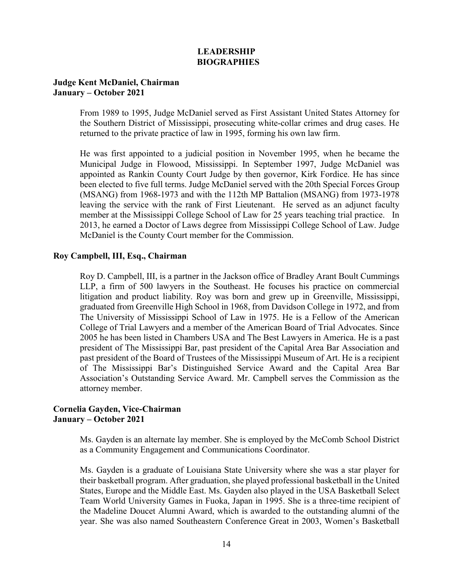## **LEADERSHIP BIOGRAPHIES**

## **Judge Kent McDaniel, Chairman January – October 2021**

From 1989 to 1995, Judge McDaniel served as First Assistant United States Attorney for the Southern District of Mississippi, prosecuting white-collar crimes and drug cases. He returned to the private practice of law in 1995, forming his own law firm.

He was first appointed to a judicial position in November 1995, when he became the Municipal Judge in Flowood, Mississippi. In September 1997, Judge McDaniel was appointed as Rankin County Court Judge by then governor, Kirk Fordice. He has since been elected to five full terms. Judge McDaniel served with the 20th Special Forces Group (MSANG) from 1968-1973 and with the 112th MP Battalion (MSANG) from 1973-1978 leaving the service with the rank of First Lieutenant. He served as an adjunct faculty member at the Mississippi College School of Law for 25 years teaching trial practice. In 2013, he earned a Doctor of Laws degree from Mississippi College School of Law. Judge McDaniel is the County Court member for the Commission.

## **Roy Campbell, III, Esq., Chairman**

Roy D. Campbell, III, is a partner in the Jackson office of Bradley Arant Boult Cummings LLP, a firm of 500 lawyers in the Southeast. He focuses his practice on commercial litigation and product liability. Roy was born and grew up in Greenville, Mississippi, graduated from Greenville High School in 1968, from Davidson College in 1972, and from The University of Mississippi School of Law in 1975. He is a Fellow of the American College of Trial Lawyers and a member of the American Board of Trial Advocates. Since 2005 he has been listed in Chambers USA and The Best Lawyers in America. He is a past president of The Mississippi Bar, past president of the Capital Area Bar Association and past president of the Board of Trustees of the Mississippi Museum of Art. He is a recipient of The Mississippi Bar's Distinguished Service Award and the Capital Area Bar Association's Outstanding Service Award. Mr. Campbell serves the Commission as the attorney member.

## **Cornelia Gayden, Vice-Chairman January – October 2021**

Ms. Gayden is an alternate lay member. She is employed by the McComb School District as a Community Engagement and Communications Coordinator.

Ms. Gayden is a graduate of Louisiana State University where she was a star player for their basketball program. After graduation, she played professional basketball in the United States, Europe and the Middle East. Ms. Gayden also played in the USA Basketball Select Team World University Games in Fuoka, Japan in 1995. She is a three-time recipient of the Madeline Doucet Alumni Award, which is awarded to the outstanding alumni of the year. She was also named Southeastern Conference Great in 2003, Women's Basketball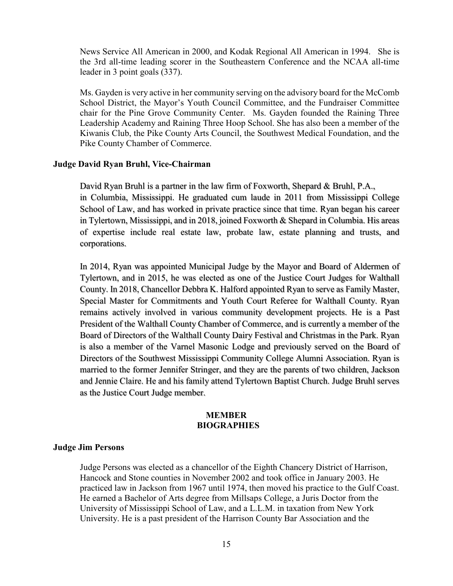News Service All American in 2000, and Kodak Regional All American in 1994. She is the 3rd all-time leading scorer in the Southeastern Conference and the NCAA all-time leader in 3 point goals (337).

Ms. Gayden is very active in her community serving on the advisory board for the McComb School District, the Mayor's Youth Council Committee, and the Fundraiser Committee chair for the Pine Grove Community Center. Ms. Gayden founded the Raining Three Leadership Academy and Raining Three Hoop School. She has also been a member of the Kiwanis Club, the Pike County Arts Council, the Southwest Medical Foundation, and the Pike County Chamber of Commerce.

#### **Judge David Ryan Bruhl, Vice-Chairman**

David Ryan Bruhl is a partner in the law firm of Foxworth, Shepard & Bruhl, P.A., in Columbia, Mississippi. He graduated cum laude in 2011 from Mississippi College School of Law, and has worked in private practice since that time. Ryan began his career in Tylertown, Mississippi, and in 2018, joined Foxworth & Shepard in Columbia. His areas of expertise include real estate law, probate law, estate planning and trusts, and corporations.

In 2014, Ryan was appointed Municipal Judge by the Mayor and Board of Aldermen of Tylertown, and in 2015, he was elected as one of the Justice Court Judges for Walthall County. In 2018, Chancellor Debbra K. Halford appointed Ryan to serve as Family Master, Special Master for Commitments and Youth Court Referee for Walthall County. Ryan remains actively involved in various community development projects. He is a Past President of the Walthall County Chamber of Commerce, and is currently a member of the Board of Directors of the Walthall County Dairy Festival and Christmas in the Park. Ryan is also a member of the Varnel Masonic Lodge and previously served on the Board of Directors of the Southwest Mississippi Community College Alumni Association. Ryan is married to the former Jennifer Stringer, and they are the parents of two children, Jackson and Jennie Claire. He and his family attend Tylertown Baptist Church. Judge Bruhl serves as the Justice Court Judge member.

#### **MEMBER BIOGRAPHIES**

#### **Judge Jim Persons**

Judge Persons was elected as a chancellor of the Eighth Chancery District of Harrison, Hancock and Stone counties in November 2002 and took office in January 2003. He practiced law in Jackson from 1967 until 1974, then moved his practice to the Gulf Coast. He earned a Bachelor of Arts degree from Millsaps College, a Juris Doctor from the University of Mississippi School of Law, and a L.L.M. in taxation from New York University. He is a past president of the Harrison County Bar Association and the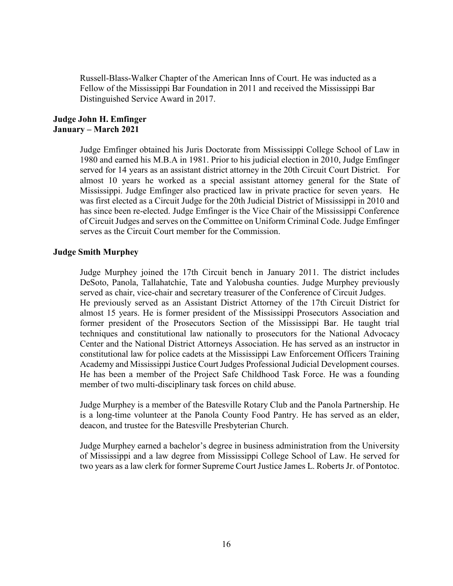Russell-Blass-Walker Chapter of the American Inns of Court. He was inducted as a Fellow of the Mississippi Bar Foundation in 2011 and received the Mississippi Bar Distinguished Service Award in 2017.

## **Judge John H. Emfinger January – March 2021**

Judge Emfinger obtained his Juris Doctorate from Mississippi College School of Law in 1980 and earned his M.B.A in 1981. Prior to his judicial election in 2010, Judge Emfinger served for 14 years as an assistant district attorney in the 20th Circuit Court District. For almost 10 years he worked as a special assistant attorney general for the State of Mississippi. Judge Emfinger also practiced law in private practice for seven years. He was first elected as a Circuit Judge for the 20th Judicial District of Mississippi in 2010 and has since been re-elected. Judge Emfinger is the Vice Chair of the Mississippi Conference of Circuit Judges and serves on the Committee on Uniform Criminal Code. Judge Emfinger serves as the Circuit Court member for the Commission.

## **Judge Smith Murphey**

Judge Murphey joined the 17th Circuit bench in January 2011. The district includes DeSoto, Panola, Tallahatchie, Tate and Yalobusha counties. Judge Murphey previously served as chair, vice-chair and secretary treasurer of the Conference of Circuit Judges. He previously served as an Assistant District Attorney of the 17th Circuit District for almost 15 years. He is former president of the Mississippi Prosecutors Association and former president of the Prosecutors Section of the Mississippi Bar. He taught trial techniques and constitutional law nationally to prosecutors for the National Advocacy Center and the National District Attorneys Association. He has served as an instructor in constitutional law for police cadets at the Mississippi Law Enforcement Officers Training Academy and Mississippi Justice Court Judges Professional Judicial Development courses. He has been a member of the Project Safe Childhood Task Force. He was a founding member of two multi-disciplinary task forces on child abuse.

Judge Murphey is a member of the Batesville Rotary Club and the Panola Partnership. He is a long-time volunteer at the Panola County Food Pantry. He has served as an elder, deacon, and trustee for the Batesville Presbyterian Church.

Judge Murphey earned a bachelor's degree in business administration from the University of Mississippi and a law degree from Mississippi College School of Law. He served for two years as a law clerk for former Supreme Court Justice James L. Roberts Jr. of Pontotoc.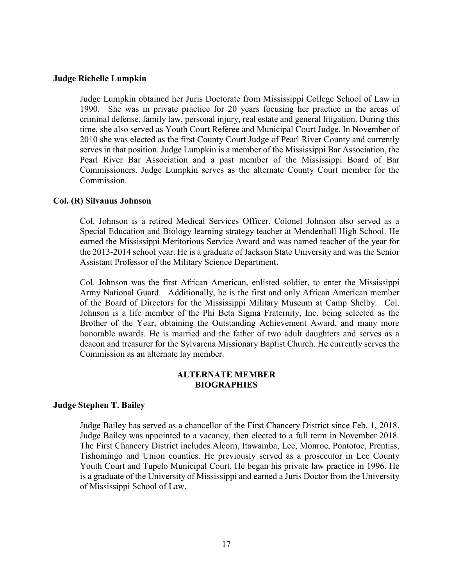#### **Judge Richelle Lumpkin**

Judge Lumpkin obtained her Juris Doctorate from Mississippi College School of Law in 1990. She was in private practice for 20 years focusing her practice in the areas of criminal defense, family law, personal injury, real estate and general litigation. During this time, she also served as Youth Court Referee and Municipal Court Judge. In November of 2010 she was elected as the first County Court Judge of Pearl River County and currently serves in that position. Judge Lumpkin is a member of the Mississippi Bar Association, the Pearl River Bar Association and a past member of the Mississippi Board of Bar Commissioners. Judge Lumpkin serves as the alternate County Court member for the Commission.

#### **Col. (R) Silvanus Johnson**

Col. Johnson is a retired Medical Services Officer. Colonel Johnson also served as a Special Education and Biology learning strategy teacher at Mendenhall High School. He earned the Mississippi Meritorious Service Award and was named teacher of the year for the 2013-2014 school year. He is a graduate of Jackson State University and was the Senior Assistant Professor of the Military Science Department.

Col. Johnson was the first African American, enlisted soldier, to enter the Mississippi Army National Guard. Additionally, he is the first and only African American member of the Board of Directors for the Mississippi Military Museum at Camp Shelby. Col. Johnson is a life member of the Phi Beta Sigma Fraternity, Inc. being selected as the Brother of the Year, obtaining the Outstanding Achievement Award, and many more honorable awards. He is married and the father of two adult daughters and serves as a deacon and treasurer for the Sylvarena Missionary Baptist Church. He currently serves the Commission as an alternate lay member.

## **ALTERNATE MEMBER BIOGRAPHIES**

## **Judge Stephen T. Bailey**

Judge Bailey has served as a chancellor of the First Chancery District since Feb. 1, 2018. Judge Bailey was appointed to a vacancy, then elected to a full term in November 2018. The First Chancery District includes Alcorn, Itawamba, Lee, Monroe, Pontotoc, Prentiss, Tishomingo and Union counties. He previously served as a prosecutor in Lee County Youth Court and Tupelo Municipal Court. He began his private law practice in 1996. He is a graduate of the University of Mississippi and earned a Juris Doctor from the University of Mississippi School of Law.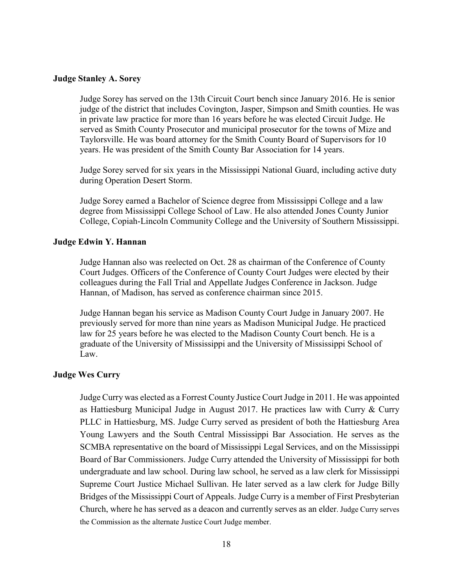#### **Judge Stanley A. Sorey**

Judge Sorey has served on the 13th Circuit Court bench since January 2016. He is senior judge of the district that includes Covington, Jasper, Simpson and Smith counties. He was in private law practice for more than 16 years before he was elected Circuit Judge. He served as Smith County Prosecutor and municipal prosecutor for the towns of Mize and Taylorsville. He was board attorney for the Smith County Board of Supervisors for 10 years. He was president of the Smith County Bar Association for 14 years.

Judge Sorey served for six years in the Mississippi National Guard, including active duty during Operation Desert Storm.

Judge Sorey earned a Bachelor of Science degree from Mississippi College and a law degree from Mississippi College School of Law. He also attended Jones County Junior College, Copiah-Lincoln Community College and the University of Southern Mississippi.

### **Judge Edwin Y. Hannan**

Judge Hannan also was reelected on Oct. 28 as chairman of the Conference of County Court Judges. Officers of the Conference of County Court Judges were elected by their colleagues during the Fall Trial and Appellate Judges Conference in Jackson. Judge Hannan, of Madison, has served as conference chairman since 2015.

Judge Hannan began his service as Madison County Court Judge in January 2007. He previously served for more than nine years as Madison Municipal Judge. He practiced law for 25 years before he was elected to the Madison County Court bench. He is a graduate of the University of Mississippi and the University of Mississippi School of Law.

#### **Judge Wes Curry**

Judge Curry was elected as a Forrest County Justice Court Judge in 2011. He was appointed as Hattiesburg Municipal Judge in August 2017. He practices law with Curry & Curry PLLC in Hattiesburg, MS. Judge Curry served as president of both the Hattiesburg Area Young Lawyers and the South Central Mississippi Bar Association. He serves as the SCMBA representative on the board of Mississippi Legal Services, and on the Mississippi Board of Bar Commissioners. Judge Curry attended the University of Mississippi for both undergraduate and law school. During law school, he served as a law clerk for Mississippi Supreme Court Justice Michael Sullivan. He later served as a law clerk for Judge Billy Bridges of the Mississippi Court of Appeals. Judge Curry is a member of First Presbyterian Church, where he has served as a deacon and currently serves as an elder. Judge Curry serves the Commission as the alternate Justice Court Judge member.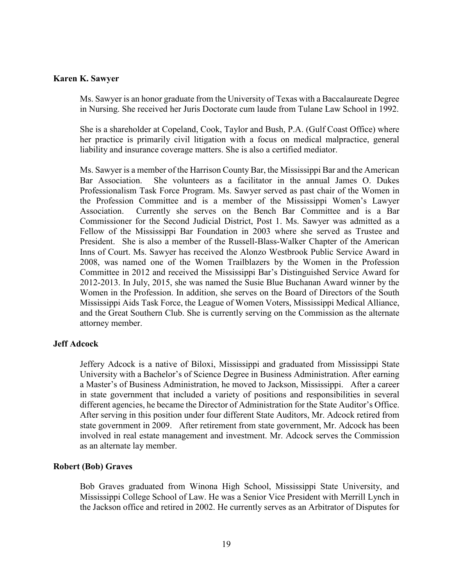#### **Karen K. Sawyer**

Ms. Sawyer is an honor graduate from the University of Texas with a Baccalaureate Degree in Nursing. She received her Juris Doctorate cum laude from Tulane Law School in 1992.

She is a shareholder at Copeland, Cook, Taylor and Bush, P.A. (Gulf Coast Office) where her practice is primarily civil litigation with a focus on medical malpractice, general liability and insurance coverage matters. She is also a certified mediator.

Ms. Sawyer is a member of the Harrison County Bar, the Mississippi Bar and the American Bar Association. She volunteers as a facilitator in the annual James O. Dukes Professionalism Task Force Program. Ms. Sawyer served as past chair of the Women in the Profession Committee and is a member of the Mississippi Women's Lawyer Association. Currently she serves on the Bench Bar Committee and is a Bar Commissioner for the Second Judicial District, Post 1. Ms. Sawyer was admitted as a Fellow of the Mississippi Bar Foundation in 2003 where she served as Trustee and President. She is also a member of the Russell-Blass-Walker Chapter of the American Inns of Court. Ms. Sawyer has received the Alonzo Westbrook Public Service Award in 2008, was named one of the Women Trailblazers by the Women in the Profession Committee in 2012 and received the Mississippi Bar's Distinguished Service Award for 2012-2013. In July, 2015, she was named the Susie Blue Buchanan Award winner by the Women in the Profession. In addition, she serves on the Board of Directors of the South Mississippi Aids Task Force, the League of Women Voters, Mississippi Medical Alliance, and the Great Southern Club. She is currently serving on the Commission as the alternate attorney member.

## **Jeff Adcock**

Jeffery Adcock is a native of Biloxi, Mississippi and graduated from Mississippi State University with a Bachelor's of Science Degree in Business Administration. After earning a Master's of Business Administration, he moved to Jackson, Mississippi. After a career in state government that included a variety of positions and responsibilities in several different agencies, he became the Director of Administration for the State Auditor's Office. After serving in this position under four different State Auditors, Mr. Adcock retired from state government in 2009. After retirement from state government, Mr. Adcock has been involved in real estate management and investment. Mr. Adcock serves the Commission as an alternate lay member.

#### **Robert (Bob) Graves**

Bob Graves graduated from Winona High School, Mississippi State University, and Mississippi College School of Law. He was a Senior Vice President with Merrill Lynch in the Jackson office and retired in 2002. He currently serves as an Arbitrator of Disputes for